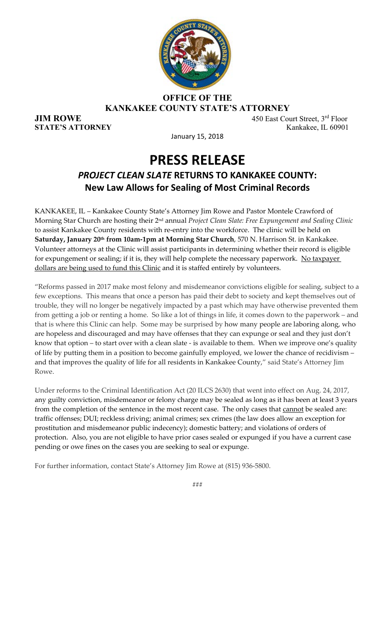

#### **OFFICE OF THE KANKAKEE COUNTY STATE'S ATTORNEY**

**JIM ROWE** 450 East Court Street, 3<sup>rd</sup> Floor **STATE'S ATTORNEY** Kankakee, IL 60901

January 15, 2018

### **PRESS RELEASE** *PROJECT CLEAN SLATE* **RETURNS TO KANKAKEE COUNTY: New Law Allows for Sealing of Most Criminal Records**

KANKAKEE, IL – Kankakee County State's Attorney Jim Rowe and Pastor Montele Crawford of Morning Star Church are hosting their 2nd annual *Project Clean Slate: Free Expungement and Sealing Clinic* to assist Kankakee County residents with re-entry into the workforce. The clinic will be held on **Saturday, January 20th from 10am‐1pm at Morning Star Church**, 570 N. Harrison St. in Kankakee. Volunteer attorneys at the Clinic will assist participants in determining whether their record is eligible for expungement or sealing; if it is, they will help complete the necessary paperwork. No taxpayer dollars are being used to fund this Clinic and it is staffed entirely by volunteers.

"Reforms passed in 2017 make most felony and misdemeanor convictions eligible for sealing, subject to a few exceptions. This means that once a person has paid their debt to society and kept themselves out of trouble, they will no longer be negatively impacted by a past which may have otherwise prevented them from getting a job or renting a home. So like a lot of things in life, it comes down to the paperwork – and that is where this Clinic can help. Some may be surprised by how many people are laboring along, who are hopeless and discouraged and may have offenses that they can expunge or seal and they just don't know that option – to start over with a clean slate ‐ is available to them. When we improve one's quality of life by putting them in a position to become gainfully employed, we lower the chance of recidivism – and that improves the quality of life for all residents in Kankakee County," said State's Attorney Jim Rowe.

Under reforms to the Criminal Identification Act (20 ILCS 2630) that went into effect on Aug. 24, 2017, any guilty conviction, misdemeanor or felony charge may be sealed as long as it has been at least 3 years from the completion of the sentence in the most recent case. The only cases that cannot be sealed are: traffic offenses; DUI; reckless driving; animal crimes; sex crimes (the law does allow an exception for prostitution and misdemeanor public indecency); domestic battery; and violations of orders of protection. Also, you are not eligible to have prior cases sealed or expunged if you have a current case pending or owe fines on the cases you are seeking to seal or expunge.

For further information, contact State's Attorney Jim Rowe at (815) 936‐5800.